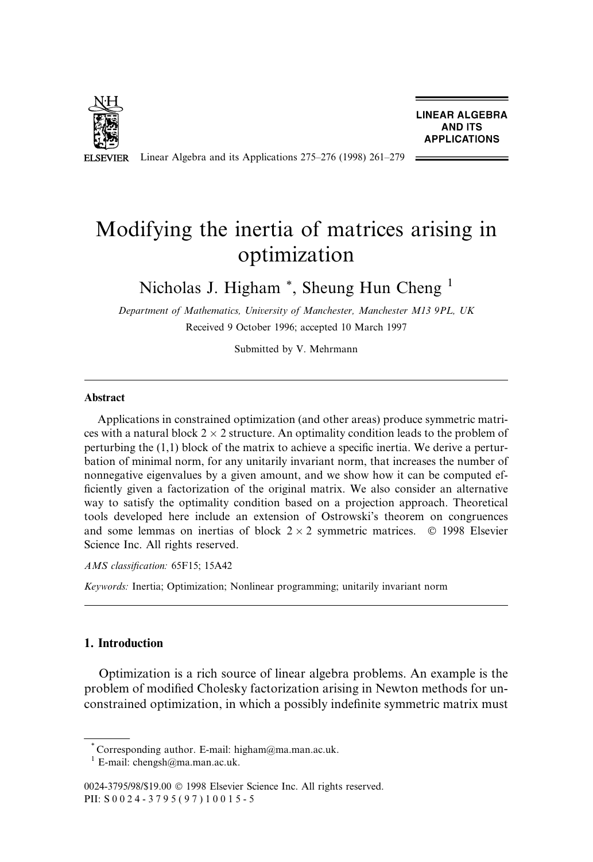

**LINEAR ALGEBRA AND ITS APPLICATIONS** 

Linear Algebra and its Applications  $275-276$  (1998) 261-279 **ELSEVIER** 

# Modifying the inertia of matrices arising in optimization

Nicholas J. Higham<sup>\*</sup>, Sheung Hun Cheng<sup>1</sup>

Department of Mathematics, University of Manchester, Manchester M13 9PL, UK Received 9 October 1996; accepted 10 March 1997

Submitted by V. Mehrmann

# Abstract

Applications in constrained optimization (and other areas) produce symmetric matrices with a natural block  $2 \times 2$  structure. An optimality condition leads to the problem of perturbing the  $(1,1)$  block of the matrix to achieve a specific inertia. We derive a perturbation of minimal norm, for any unitarily invariant norm, that increases the number of nonnegative eigenvalues by a given amount, and we show how it can be computed ef ficiently given a factorization of the original matrix. We also consider an alternative way to satisfy the optimality condition based on a projection approach. Theoretical tools developed here include an extension of Ostrowski's theorem on congruences and some lemmas on inertias of block  $2 \times 2$  symmetric matrices.  $\circ$  1998 Elsevier Science Inc. All rights reserved.

AMS classification: 65F15; 15A42

Keywords: Inertia; Optimization; Nonlinear programming; unitarily invariant norm

# 1. Introduction

Optimization is a rich source of linear algebra problems. An example is the problem of modified Cholesky factorization arising in Newton methods for unconstrained optimization, in which a possibly indefinite symmetric matrix must

\* Corresponding author. E-mail: higham@ma.man.ac.uk.  $1$  E-mail: chengsh@ma.man.ac.uk.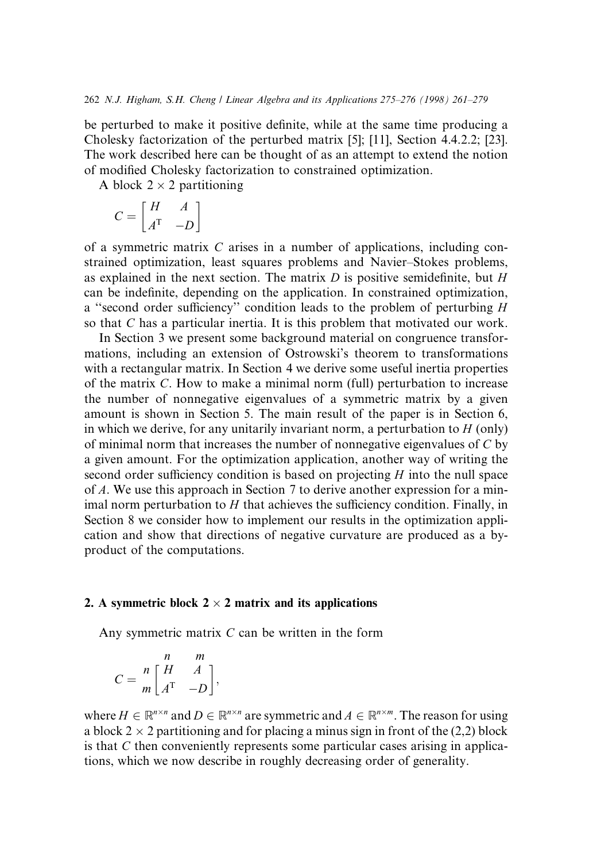be perturbed to make it positive definite, while at the same time producing a Cholesky factorization of the perturbed matrix [5]; [11], Section 4.4.2.2; [23]. The work described here can be thought of as an attempt to extend the notion of modified Cholesky factorization to constrained optimization.

A block  $2 \times 2$  partitioning

$$
C=\begin{bmatrix} H & A \\ A^\mathrm{T} & -D \end{bmatrix}
$$

of a symmetric matrix C arises in a number of applications, including constrained optimization, least squares problems and Navier–Stokes problems, as explained in the next section. The matrix  $D$  is positive semidefinite, but  $H$ can be indefinite, depending on the application. In constrained optimization, a "second order sufficiency" condition leads to the problem of perturbing  $H$ so that C has a particular inertia. It is this problem that motivated our work.

In Section 3 we present some background material on congruence transformations, including an extension of Ostrowski's theorem to transformations with a rectangular matrix. In Section 4 we derive some useful inertia properties of the matrix C. How to make a minimal norm (full) perturbation to increase the number of nonnegative eigenvalues of a symmetric matrix by a given amount is shown in Section 5. The main result of the paper is in Section 6, in which we derive, for any unitarily invariant norm, a perturbation to  $H$  (only) of minimal norm that increases the number of nonnegative eigenvalues of C by a given amount. For the optimization application, another way of writing the second order sufficiency condition is based on projecting  $H$  into the null space of A. We use this approach in Section 7 to derive another expression for a minimal norm perturbation to  $H$  that achieves the sufficiency condition. Finally, in Section 8 we consider how to implement our results in the optimization application and show that directions of negative curvature are produced as a byproduct of the computations.

#### 2. A symmetric block  $2 \times 2$  matrix and its applications

Any symmetric matrix C can be written in the form

$$
C = \frac{n}{m} \begin{bmatrix} n & m \\ H & A \\ A^{T} & -D \end{bmatrix},
$$

where  $H \in \mathbb{R}^{n \times n}$  and  $D \in \mathbb{R}^{n \times n}$  are symmetric and  $A \in \mathbb{R}^{n \times m}$ . The reason for using a block 2  $\times$  2 partitioning and for placing a minus sign in front of the (2,2) block is that C then conveniently represents some particular cases arising in applications, which we now describe in roughly decreasing order of generality.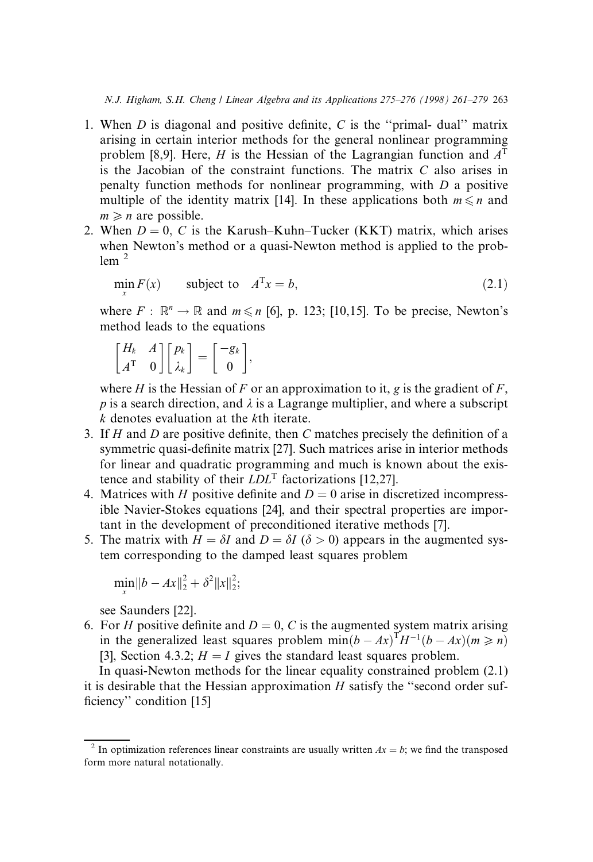- 1. When  $D$  is diagonal and positive definite,  $C$  is the "primal- dual" matrix arising in certain interior methods for the general nonlinear programming problem [8,9]. Here, H is the Hessian of the Lagrangian function and  $A<sup>T</sup>$ is the Jacobian of the constraint functions. The matrix  $C$  also arises in penalty function methods for nonlinear programming, with D a positive multiple of the identity matrix [14]. In these applications both  $m \leq n$  and  $m \geq n$  are possible.
- 2. When  $D = 0$ , C is the Karush-Kuhn-Tucker (KKT) matrix, which arises when Newton's method or a quasi-Newton method is applied to the prob- $1$ em  $<sup>2</sup>$ </sup>

$$
\min_{x} F(x) \qquad \text{subject to} \quad A^{\mathrm{T}} x = b,\tag{2.1}
$$

where  $F : \mathbb{R}^n \to \mathbb{R}$  and  $m \le n$  [6], p. 123; [10,15]. To be precise, Newton's method leads to the equations

$$
\begin{bmatrix} H_k & A \\ A^{\mathrm{T}} & 0 \end{bmatrix} \begin{bmatrix} p_k \\ \lambda_k \end{bmatrix} = \begin{bmatrix} -g_k \\ 0 \end{bmatrix},
$$

where H is the Hessian of F or an approximation to it, g is the gradient of F, p is a search direction, and  $\lambda$  is a Lagrange multiplier, and where a subscript k denotes evaluation at the kth iterate.

- 3. If  $H$  and  $D$  are positive definite, then  $C$  matches precisely the definition of a symmetric quasi-definite matrix [27]. Such matrices arise in interior methods for linear and quadratic programming and much is known about the existence and stability of their  $LDL<sup>T</sup>$  factorizations [12,27].
- 4. Matrices with H positive definite and  $D = 0$  arise in discretized incompressible Navier-Stokes equations [24], and their spectral properties are important in the development of preconditioned iterative methods [7].
- 5. The matrix with  $H = \delta I$  and  $D = \delta I$  ( $\delta > 0$ ) appears in the augmented system corresponding to the damped least squares problem

$$
\min_{x} \|b - Ax\|_2^2 + \delta^2 \|x\|_2^2;
$$

see Saunders [22].

6. For H positive definite and  $D = 0$ , C is the augmented system matrix arising in the generalized least squares problem  $\min(b - Ax)^{T}H^{-1}(b - Ax)(m \geq n)$ [3], Section 4.3.2;  $H = I$  gives the standard least squares problem.

In quasi-Newton methods for the linear equality constrained problem (2.1) it is desirable that the Hessian approximation  $H$  satisfy the "second order sufficiency" condition [15]

<sup>&</sup>lt;sup>2</sup> In optimization references linear constraints are usually written  $Ax = b$ ; we find the transposed form more natural notationally.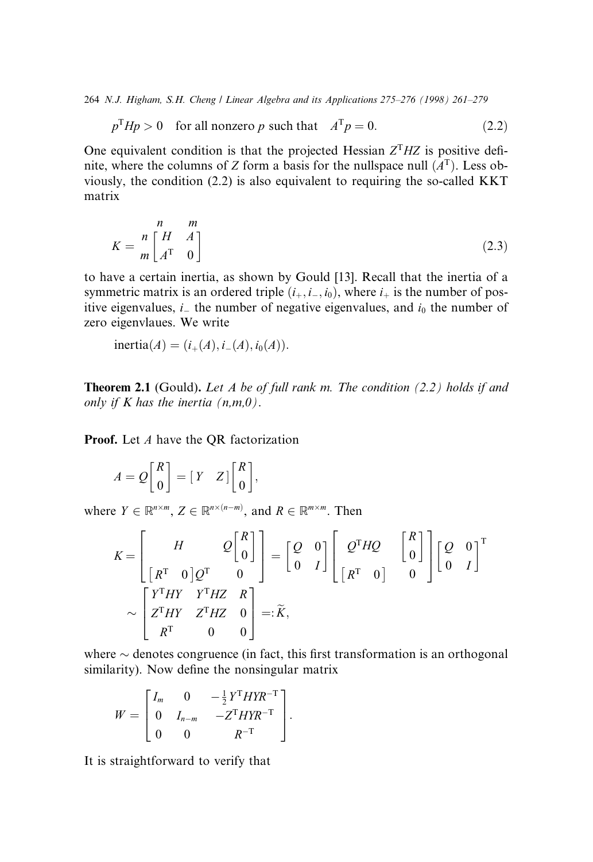$$
p^{T}Hp > 0 \quad \text{for all nonzero } p \text{ such that} \quad A^{T}p = 0. \tag{2.2}
$$

One equivalent condition is that the projected Hessian  $Z<sup>T</sup>HZ$  is positive definite, where the columns of Z form a basis for the nullspace null  $(A<sup>T</sup>)$ . Less obviously, the condition (2.2) is also equivalent to requiring the so-called KKT matrix

$$
K = \frac{n}{m} \begin{bmatrix} H & H \\ A^{\mathrm{T}} & 0 \end{bmatrix} \tag{2.3}
$$

to have a certain inertia, as shown by Gould [13]. Recall that the inertia of a symmetric matrix is an ordered triple  $(i_+, i_-, i_0)$ , where  $i_+$  is the number of positive eigenvalues,  $i<sub>-</sub>$  the number of negative eigenvalues, and  $i<sub>0</sub>$  the number of zero eigenvlaues. We write

$$
inertia(A) = (i_{+}(A), i_{-}(A), i_{0}(A)).
$$

**Theorem 2.1** (Gould). Let  $A$  be of full rank m. The condition (2.2) holds if and only if K has the inertia  $(n,m,0)$ .

Proof. Let A have the QR factorization

$$
A = Q \begin{bmatrix} R \\ 0 \end{bmatrix} = \begin{bmatrix} Y & Z \end{bmatrix} \begin{bmatrix} R \\ 0 \end{bmatrix},
$$

where  $Y \in \mathbb{R}^{n \times m}$ ,  $Z \in \mathbb{R}^{n \times (n-m)}$ , and  $R \in \mathbb{R}^{m \times m}$ . Then

$$
K = \begin{bmatrix} H & Q \begin{bmatrix} R \\ 0 \end{bmatrix} \\ \begin{bmatrix} R^T & 0 \end{bmatrix} Q^T & 0 \end{bmatrix} = \begin{bmatrix} Q & 0 \\ 0 & I \end{bmatrix} \begin{bmatrix} Q^T H Q & \begin{bmatrix} R \\ 0 \end{bmatrix} \\ \begin{bmatrix} R^T & 0 \end{bmatrix} & 0 \end{bmatrix}^T \\ \sim \begin{bmatrix} Y^T H Y & Y^T H Z & R \\ Z^T H Y & Z^T H Z & 0 \\ R^T & 0 & 0 \end{bmatrix} =: \widetilde{K},
$$

where  $\sim$  denotes congruence (in fact, this first transformation is an orthogonal similarity). Now define the nonsingular matrix

$$
W = \begin{bmatrix} I_m & 0 & -\frac{1}{2} Y^T H Y R^{-T} \\ 0 & I_{n-m} & -Z^T H Y R^{-T} \\ 0 & 0 & R^{-T} \end{bmatrix}.
$$

It is straightforward to verify that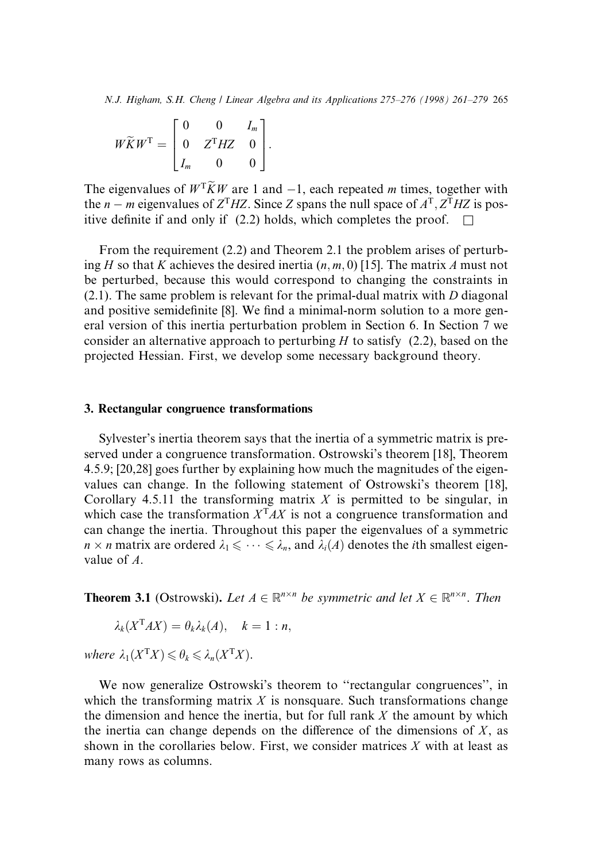$$
W\widetilde{K}W^{\mathrm{T}} = \begin{bmatrix} 0 & 0 & I_m \\ 0 & Z^{\mathrm{T}}HZ & 0 \\ I_m & 0 & 0 \end{bmatrix}.
$$

The eigenvalues of  $W<sup>T</sup> \widetilde{K}W$  are 1 and  $-1$ , each repeated m times, together with the *n* – *m* eigenvalues of  $Z^{T}HZ$ . Since Z spans the null space of  $A^{T}$ ,  $Z^{T}HZ$  is positive definite if and only if (2.2) holds, which completes the proof.  $\Box$ 

From the requirement (2.2) and Theorem 2.1 the problem arises of perturbing H so that K achieves the desired inertia  $(n, m, 0)$  [15]. The matrix A must not be perturbed, because this would correspond to changing the constraints in (2.1). The same problem is relevant for the primal-dual matrix with D diagonal and positive semidefinite [8]. We find a minimal-norm solution to a more general version of this inertia perturbation problem in Section 6. In Section 7 we consider an alternative approach to perturbing  $H$  to satisfy (2.2), based on the projected Hessian. First, we develop some necessary background theory.

#### 3. Rectangular congruence transformations

Sylvester's inertia theorem says that the inertia of a symmetric matrix is preserved under a congruence transformation. Ostrowski's theorem [18], Theorem 4.5.9; [20,28] goes further by explaining how much the magnitudes of the eigenvalues can change. In the following statement of Ostrowski's theorem [18], Corollary 4.5.11 the transforming matrix  $X$  is permitted to be singular, in which case the transformation  $X<sup>T</sup>AX$  is not a congruence transformation and can change the inertia. Throughout this paper the eigenvalues of a symmetric  $n \times n$  matrix are ordered  $\lambda_1 \leq \cdots \leq \lambda_n$ , and  $\lambda_i(A)$  denotes the *i*th smallest eigenvalue of A.

**Theorem 3.1** (Ostrowski). Let  $A \in \mathbb{R}^{n \times n}$  be symmetric and let  $X \in \mathbb{R}^{n \times n}$ . Then

$$
\lambda_k(X^{\mathrm{T}}AX)=\theta_k\lambda_k(A), \quad k=1:n,
$$

where  $\lambda_1(X^{\mathrm{T}}X) \leq \theta_k \leq \lambda_n(X^{\mathrm{T}}X)$ .

We now generalize Ostrowski's theorem to "rectangular congruences", in which the transforming matrix  $X$  is nonsquare. Such transformations change the dimension and hence the inertia, but for full rank  $X$  the amount by which the inertia can change depends on the difference of the dimensions of  $X$ , as shown in the corollaries below. First, we consider matrices  $X$  with at least as many rows as columns.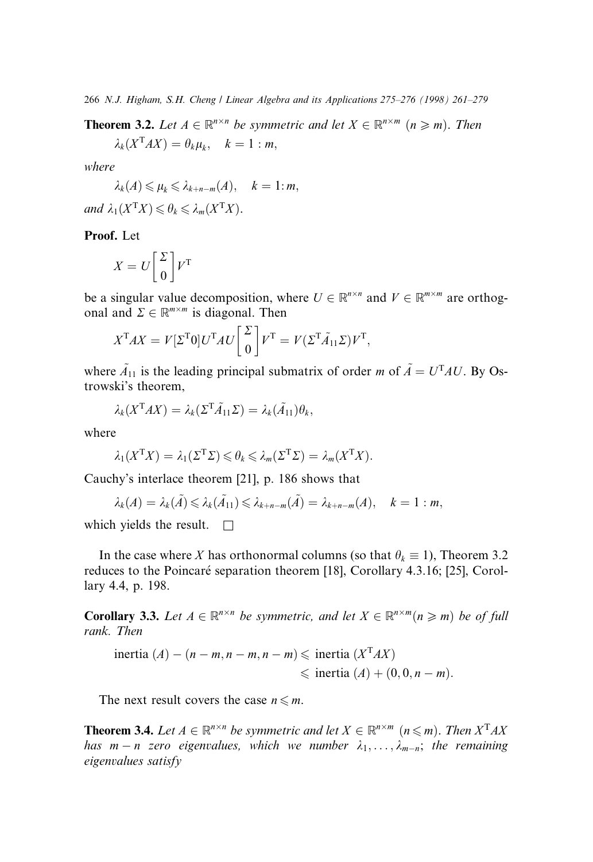**Theorem 3.2.** Let  $A \in \mathbb{R}^{n \times n}$  be symmetric and let  $X \in \mathbb{R}^{n \times m}$   $(n \geq m)$ . Then

 $\lambda_k (X^{\mathsf{T}} A X) = \theta_k \mu_k, \quad k = 1 : m,$ 

where

$$
\lambda_k(A) \leqslant \mu_k \leqslant \lambda_{k+n-m}(A), \quad k=1:m,
$$

and 
$$
\lambda_1(X^{\mathsf{T}}X) \leq \theta_k \leq \lambda_m(X^{\mathsf{T}}X)
$$
.

Proof. Let

$$
X = U \begin{bmatrix} \Sigma \\ 0 \end{bmatrix} V^{\mathrm{T}}
$$

be a singular value decomposition, where  $U \in \mathbb{R}^{n \times n}$  and  $V \in \mathbb{R}^{m \times m}$  are orthogonal and  $\Sigma \in \mathbb{R}^{m \times m}$  is diagonal. Then

$$
X^{T}AX = V[\Sigma^{T}0]U^{T}AU\begin{bmatrix} \Sigma \\ 0 \end{bmatrix}V^{T} = V(\Sigma^{T}\tilde{A}_{11}\Sigma)V^{T},
$$

where  $\tilde{A}_{11}$  is the leading principal submatrix of order *m* of  $\tilde{A} = U^{T}AU$ . By Ostrowski's theorem,

$$
\lambda_k(X^{\mathrm{T}}AX)=\lambda_k(\Sigma^{\mathrm{T}}\tilde{A}_{11}\Sigma)=\lambda_k(\tilde{A}_{11})\theta_k,
$$

where

$$
\lambda_1(X^{\mathrm{T}}X) = \lambda_1(\Sigma^{\mathrm{T}}\Sigma) \leq \theta_k \leq \lambda_m(\Sigma^{\mathrm{T}}\Sigma) = \lambda_m(X^{\mathrm{T}}X).
$$

Cauchy's interlace theorem [21], p. 186 shows that

$$
\lambda_k(A)=\lambda_k(\tilde{A})\leqslant \lambda_k(\tilde{A}_{11})\leqslant \lambda_{k+n-m}(\tilde{A})=\lambda_{k+n-m}(A), \quad k=1:m,
$$

which yields the result.  $\Box$ 

In the case where X has orthonormal columns (so that  $\theta_k \equiv 1$ ), Theorem 3.2 reduces to the Poincaré separation theorem [18], Corollary 4.3.16; [25], Corollary 4.4, p. 198.

**Corollary 3.3.** Let  $A \in \mathbb{R}^{n \times n}$  be symmetric, and let  $X \in \mathbb{R}^{n \times m}$  ( $n \ge m$ ) be of full rank. Then

inertia (A) – 
$$
(n - m, n - m, n - m)
$$
 ≤ inertia  $(X^T A X)$   
≤ inertia  $(A) + (0, 0, n - m)$ .

The next result covers the case  $n \leq m$ .

**Theorem 3.4.** Let  $A \in \mathbb{R}^{n \times n}$  be symmetric and let  $X \in \mathbb{R}^{n \times m}$   $(n \leq m)$ . Then  $X^{T}AX$ has  $m - n$  zero eigenvalues, which we number  $\lambda_1, \ldots, \lambda_{m-n}$ ; the remaining eigenvalues satisfy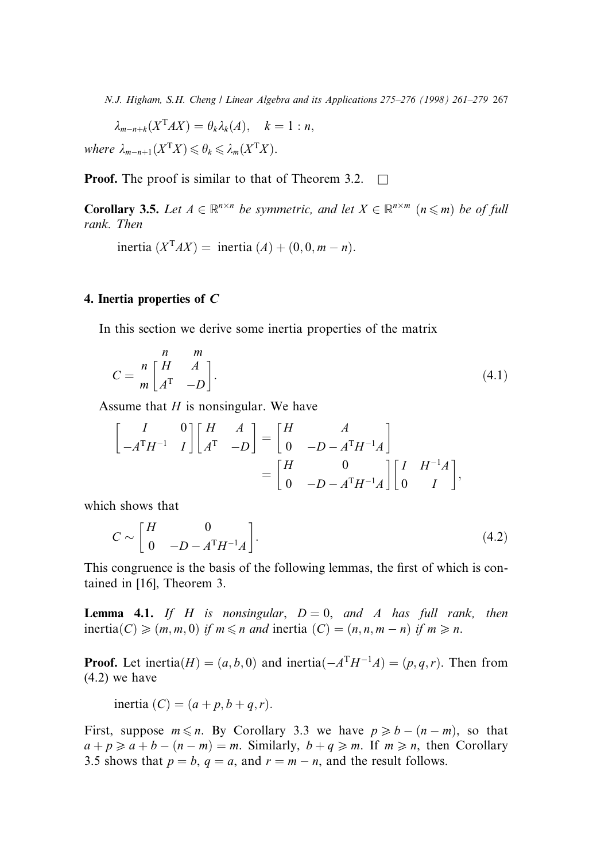$\lambda_{m-n+k}(X^{\mathsf{T}}AX) = \theta_k \lambda_k(A), \quad k = 1 : n,$ 

where  $\lambda_{m-n+1}(X^{\mathsf{T}}X) \leq \theta_k \leq \lambda_m(X^{\mathsf{T}}X)$ .

**Proof.** The proof is similar to that of Theorem 3.2.  $\Box$ 

**Corollary 3.5.** Let  $A \in \mathbb{R}^{n \times n}$  be symmetric, and let  $X \in \mathbb{R}^{n \times m}$   $(n \leq m)$  be of full rank. Then

inertia  $(X<sup>T</sup> AX)$  = inertia  $(A) + (0, 0, m - n)$ .

#### 4. Inertia properties of C

In this section we derive some inertia properties of the matrix

$$
C = \frac{n}{m} \begin{bmatrix} n & m \\ H & A \\ A^{T} & -D \end{bmatrix}.
$$
 (4.1)

Assume that  $H$  is nonsingular. We have

$$
\begin{bmatrix} I & 0 \ -A^{T}H^{-1} & I \end{bmatrix} \begin{bmatrix} H & A \ A^{T} & -D \end{bmatrix} = \begin{bmatrix} H & A \ 0 & -D - A^{T}H^{-1}A \end{bmatrix}
$$

$$
= \begin{bmatrix} H & 0 \ 0 & -D - A^{T}H^{-1}A \end{bmatrix} \begin{bmatrix} I & H^{-1}A \ 0 & I \end{bmatrix},
$$

which shows that

$$
C \sim \begin{bmatrix} H & 0 \\ 0 & -D - A^{T}H^{-1}A \end{bmatrix}.
$$
 (4.2)

This congruence is the basis of the following lemmas, the first of which is contained in [16], Theorem 3.

**Lemma 4.1.** If H is nonsingular,  $D = 0$ , and A has full rank, then inertia(C)  $\geq (m, m, 0)$  if  $m \leq n$  and inertia (C)  $= (n, n, m - n)$  if  $m \geq n$ .

**Proof.** Let inertia $(H) = (a, b, 0)$  and inertia $\left(-A^{T}H^{-1}A\right) = (p, q, r)$ . Then from (4.2) we have

inertia  $(C) = (a + p, b + q, r).$ 

First, suppose  $m \le n$ . By Corollary 3.3 we have  $p \ge b - (n - m)$ , so that  $a + p \ge a + b - (n - m) = m$ . Similarly,  $b + q \ge m$ . If  $m \ge n$ , then Corollary 3.5 shows that  $p = b$ ,  $q = a$ , and  $r = m - n$ , and the result follows.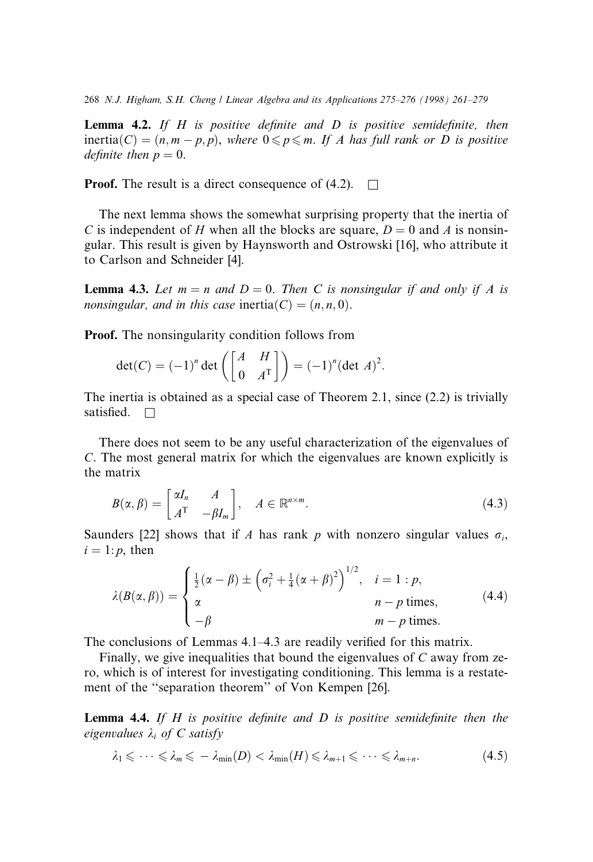**Lemma 4.2.** If H is positive definite and D is positive semidefinite, then inertia(C) =  $(n, m - p, p)$ , where  $0 \le p \le m$ . If A has full rank or D is positive definite then  $p = 0$ .

**Proof.** The result is a direct consequence of  $(4.2)$ .  $\Box$ 

The next lemma shows the somewhat surprising property that the inertia of C is independent of H when all the blocks are square,  $D = 0$  and A is nonsingular. This result is given by Haynsworth and Ostrowski [16], who attribute it to Carlson and Schneider [4].

**Lemma 4.3.** Let  $m = n$  and  $D = 0$ . Then C is nonsingular if and only if A is nonsingular, and in this case inertia(C) =  $(n, n, 0)$ .

Proof. The nonsingularity condition follows from

$$
\det(C) = (-1)^n \det\left(\begin{bmatrix} A & H \\ 0 & A^{\mathrm{T}} \end{bmatrix}\right) = (-1)^n (\det A)^2.
$$

The inertia is obtained as a special case of Theorem 2.1, since (2.2) is trivially satisfied.  $\Box$ 

There does not seem to be any useful characterization of the eigenvalues of C. The most general matrix for which the eigenvalues are known explicitly is the matrix

$$
B(\alpha, \beta) = \begin{bmatrix} \alpha I_n & A \\ A^{\mathrm{T}} & -\beta I_m \end{bmatrix}, \quad A \in \mathbb{R}^{n \times m}.
$$
 (4.3)

Saunders [22] shows that if A has rank p with nonzero singular values  $\sigma_i$ ,  $i = 1:p$ , then

$$
\lambda(B(\alpha,\beta)) = \begin{cases} \frac{1}{2}(\alpha-\beta) \pm \left(\sigma_i^2 + \frac{1}{4}(\alpha+\beta)^2\right)^{1/2}, & i=1:p, \\ \alpha & n-p \text{ times}, \\ -\beta & m-p \text{ times}. \end{cases}
$$
(4.4)

The conclusions of Lemmas 4.1–4.3 are readily verified for this matrix.

Finally, we give inequalities that bound the eigenvalues of  $C$  away from zero, which is of interest for investigating conditioning. This lemma is a restatement of the "separation theorem" of Von Kempen [26].

**Lemma 4.4.** If H is positive definite and D is positive semidefinite then the eigenvalues  $\lambda_i$  of C satisfy

$$
\lambda_1 \leqslant \cdots \leqslant \lambda_m \leqslant -\lambda_{\min}(D) < \lambda_{\min}(H) \leqslant \lambda_{m+1} \leqslant \cdots \leqslant \lambda_{m+n}.\tag{4.5}
$$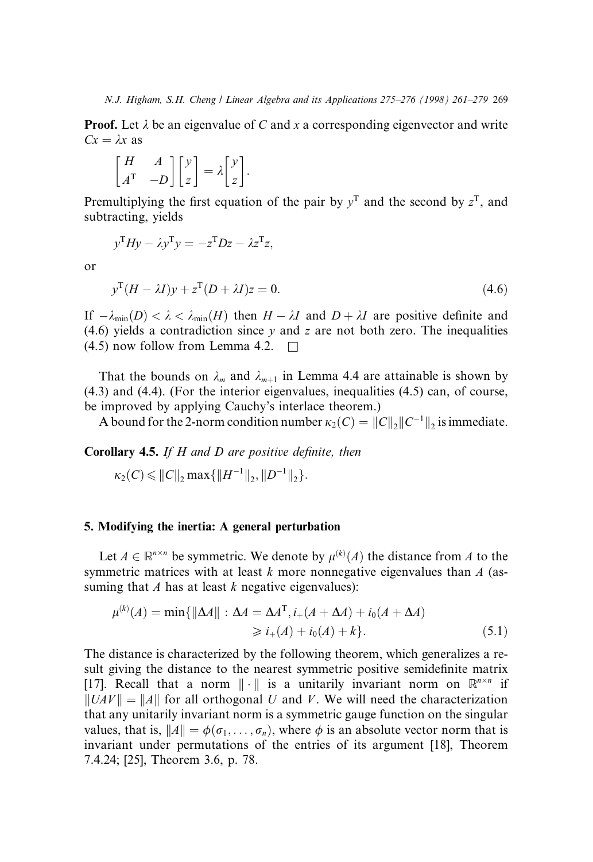**Proof.** Let  $\lambda$  be an eigenvalue of C and x a corresponding eigenvector and write  $Cx = \lambda x$  as

$$
\begin{bmatrix} H & A \\ A^{\mathrm{T}} & -D \end{bmatrix} \begin{bmatrix} y \\ z \end{bmatrix} = \lambda \begin{bmatrix} y \\ z \end{bmatrix}.
$$

Premultiplying the first equation of the pair by  $y<sup>T</sup>$  and the second by  $z<sup>T</sup>$ , and subtracting, yields

$$
y^{T}Hy - \lambda y^{T}y = -z^{T}Dz - \lambda z^{T}z,
$$

or

$$
y^{\mathrm{T}}(H - \lambda I)y + z^{\mathrm{T}}(D + \lambda I)z = 0.
$$
\n(4.6)

If  $-\lambda_{\min}(D) < \lambda < \lambda_{\min}(H)$  then  $H - \lambda I$  and  $D + \lambda I$  are positive definite and (4.6) yields a contradiction since  $y$  and  $z$  are not both zero. The inequalities  $(4.5)$  now follow from Lemma 4.2.  $\Box$ 

That the bounds on  $\lambda_m$  and  $\lambda_{m+1}$  in Lemma 4.4 are attainable is shown by (4.3) and (4.4). (For the interior eigenvalues, inequalities (4.5) can, of course, be improved by applying Cauchy's interlace theorem.)

A bound for the 2-norm condition number  $\kappa_2(C) = ||C||$ ,  $||C^{-1}||$ , is immediate.

**Corollary 4.5.** If  $H$  and  $D$  are positive definite, then

 $\kappa_2(C) \leqslant ||C||_2 \max\{||H^{-1}||_2, ||D^{-1}||_2\}.$ 

# 5. Modifying the inertia: A general perturbation

Let  $A \in \mathbb{R}^{n \times n}$  be symmetric. We denote by  $\mu^{(k)}(A)$  the distance from A to the symmetric matrices with at least k more nonnegative eigenvalues than  $A$  (assuming that A has at least  $k$  negative eigenvalues):

$$
\mu^{(k)}(A) = \min\{\|\Delta A\| : \Delta A = \Delta A^{T}, i_{+}(A + \Delta A) + i_{0}(A + \Delta A) \}
$$
  
\n
$$
\geq i_{+}(A) + i_{0}(A) + k\}.
$$
 (5.1)

The distance is characterized by the following theorem, which generalizes a result giving the distance to the nearest symmetric positive semidefinite matrix [17]. Recall that a norm  $\|\cdot\|$  is a unitarily invariant norm on  $\mathbb{R}^{n \times n}$  if  $\|UAV\| = \|A\|$  for all orthogonal U and V. We will need the characterization that any unitarily invariant norm is a symmetric gauge function on the singular values, that is,  $||A|| = \phi(\sigma_1, \ldots, \sigma_n)$ , where  $\phi$  is an absolute vector norm that is invariant under permutations of the entries of its argument [18], Theorem 7.4.24; [25], Theorem 3.6, p. 78.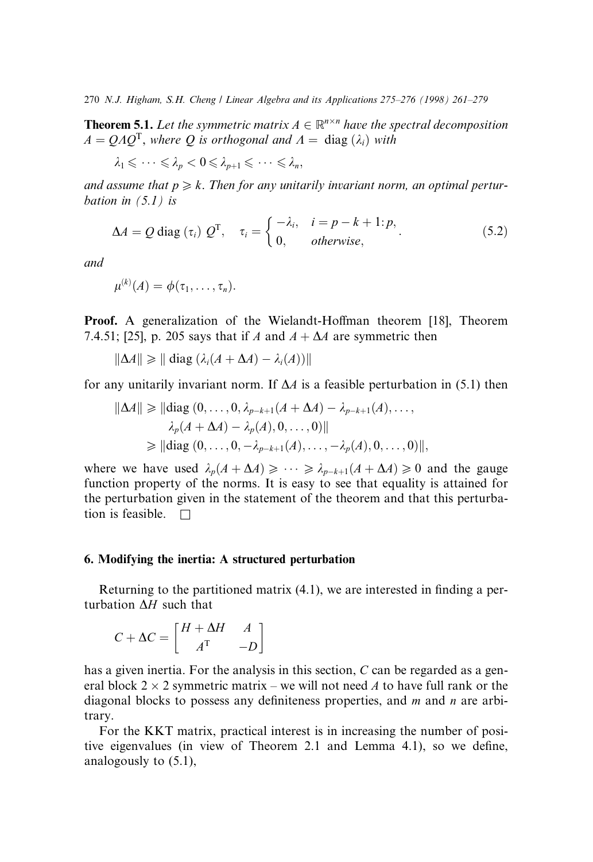**Theorem 5.1.** Let the symmetric matrix  $A \in \mathbb{R}^{n \times n}$  have the spectral decomposition  $A = OAO<sup>T</sup>$ , where O is orthogonal and  $A = diag(\lambda_i)$  with

$$
\lambda_1 \leqslant \cdots \leqslant \lambda_p < 0 \leqslant \lambda_{p+1} \leqslant \cdots \leqslant \lambda_n,
$$

and assume that  $p \ge k$ . Then for any unitarily invariant norm, an optimal perturbation in  $(5.1)$  is

$$
\Delta A = Q \operatorname{diag} (\tau_i) Q^{\mathrm{T}}, \quad \tau_i = \begin{cases} -\lambda_i, & i = p - k + 1 \colon p, \\ 0, & \text{otherwise,} \end{cases} \tag{5.2}
$$

and

$$
\mu^{(k)}(A)=\phi(\tau_1,\ldots,\tau_n).
$$

Proof. A generalization of the Wielandt-Hoffman theorem [18], Theorem 7.4.51; [25], p. 205 says that if A and  $A + \Delta A$  are symmetric then

$$
\|\Delta A\| \geq \|\operatorname{diag}\left(\lambda_i(A+\Delta A) - \lambda_i(A)\right)\|
$$

for any unitarily invariant norm. If  $\Delta A$  is a feasible perturbation in (5.1) then

$$
\|\Delta A\| \ge \|\text{diag}(0, \dots, 0, \lambda_{p-k+1}(A + \Delta A) - \lambda_{p-k+1}(A), \dots, \lambda_p(A + \Delta A) - \lambda_p(A), 0, \dots, 0)\|
$$
  

$$
\ge \|\text{diag}(0, \dots, 0, -\lambda_{p-k+1}(A), \dots, -\lambda_p(A), 0, \dots, 0)\|,
$$

where we have used  $\lambda_p(A + \Delta A) \geqslant \cdots \geqslant \lambda_{p-k+1}(A + \Delta A) \geqslant 0$  and the gauge function property of the norms. It is easy to see that equality is attained for the perturbation given in the statement of the theorem and that this perturbation is feasible.  $\Box$ 

# 6. Modifying the inertia: A structured perturbation

Returning to the partitioned matrix  $(4.1)$ , we are interested in finding a perturbation  $\Delta H$  such that

$$
C + \Delta C = \begin{bmatrix} H + \Delta H & A \\ A^{\mathrm{T}} & -D \end{bmatrix}
$$

has a given inertia. For the analysis in this section, C can be regarded as a general block  $2 \times 2$  symmetric matrix – we will not need A to have full rank or the diagonal blocks to possess any definiteness properties, and  $m$  and  $n$  are arbitrary.

For the KKT matrix, practical interest is in increasing the number of positive eigenvalues (in view of Theorem 2.1 and Lemma 4.1), so we define, analogously to (5.1),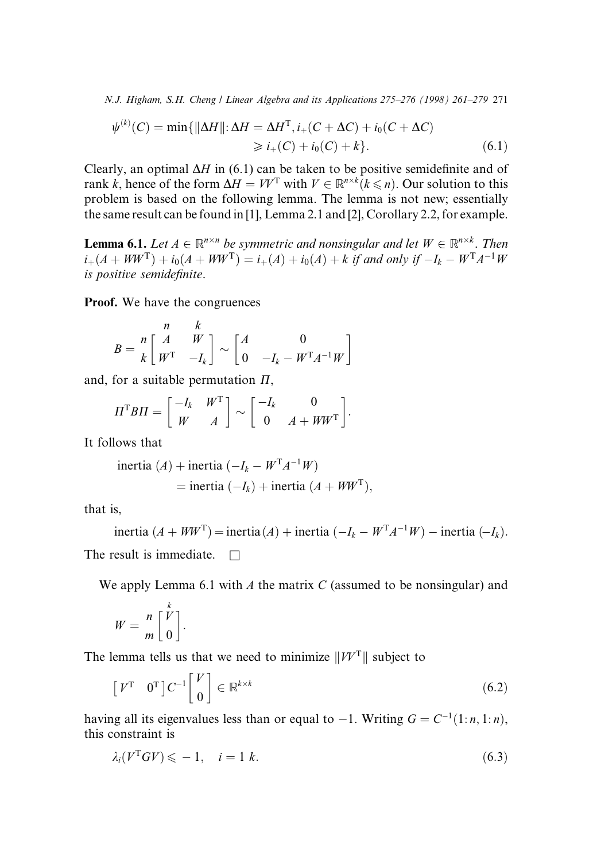$$
\psi^{(k)}(C) = \min\{\|\Delta H\|: \Delta H = \Delta H^{\mathrm{T}}, i_{+}(C + \Delta C) + i_{0}(C + \Delta C)
$$
  
\n
$$
\geq i_{+}(C) + i_{0}(C) + k\}.
$$
\n(6.1)

Clearly, an optimal  $\Delta H$  in (6.1) can be taken to be positive semidefinite and of rank k, hence of the form  $\Delta H = V V^{\mathsf{T}}$  with  $V \in \mathbb{R}^{n \times k}$   $(k \le n)$ . Our solution to this problem is based on the following lemma. The lemma is not new; essentially the same result can be found in [1], Lemma 2.1 and [2], Corollary 2.2, for example.

**Lemma 6.1.** Let  $A \in \mathbb{R}^{n \times n}$  be symmetric and nonsingular and let  $W \in \mathbb{R}^{n \times k}$ . Then  $i_{+}(A + WW^{T}) + i_{0}(A + WW^{T}) = i_{+}(A) + i_{0}(A) + k$  if and only if  $-I_{k} - W^{T}A^{-1}W$ is positive semidefinite.

Proof. We have the congruences

$$
B = \begin{bmatrix} n & k \\ k \end{bmatrix} \begin{bmatrix} M & W \\ W^{\mathrm{T}} & -I_k \end{bmatrix} \sim \begin{bmatrix} A & 0 \\ 0 & -I_k - W^{\mathrm{T}} A^{-1} W \end{bmatrix}
$$

and, for a suitable permutation  $\Pi$ ,

$$
\Pi^{\mathrm{T}} B \Pi = \begin{bmatrix} -I_k & W^{\mathrm{T}} \\ W & A \end{bmatrix} \sim \begin{bmatrix} -I_k & 0 \\ 0 & A + WW^{\mathrm{T}} \end{bmatrix}.
$$

It follows that

inertia (A) + inertia 
$$
(-I_k - W^T A^{-1} W)
$$
  
= inertia  $(-I_k)$  + inertia  $(A + WW^T)$ ,

that is,

inertia  $(A + WW^T)$  = inertia  $(A)$  + inertia  $(-I_k - W^T A^{-1} W)$  – inertia  $(-I_k)$ . The result is immediate.  $\Box$ 

We apply Lemma 6.1 with  $A$  the matrix  $C$  (assumed to be nonsingular) and

$$
W = \frac{n}{m} \left[ \frac{V}{0} \right].
$$

The lemma tells us that we need to minimize  $||W^T||$  subject to

$$
\begin{bmatrix} V^{\mathrm{T}} & 0^{\mathrm{T}} \end{bmatrix} C^{-1} \begin{bmatrix} V \\ 0 \end{bmatrix} \in \mathbb{R}^{k \times k} \tag{6.2}
$$

having all its eigenvalues less than or equal to  $-1$ . Writing  $G = C^{-1}(1: n, 1: n)$ , this constraint is

$$
\lambda_i(V^{\mathrm{T}} G V) \leqslant -1, \quad i = 1 \ k. \tag{6.3}
$$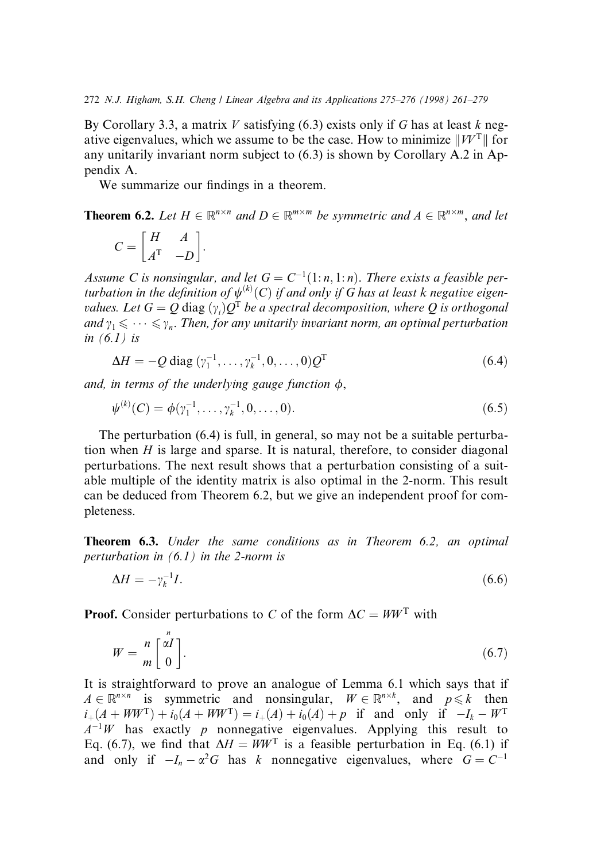By Corollary 3.3, a matrix V satisfying  $(6.3)$  exists only if G has at least k negative eigenvalues, which we assume to be the case. How to minimize  $||W^T||$  for any unitarily invariant norm subject to (6.3) is shown by Corollary A.2 in Appendix A.

We summarize our findings in a theorem.

**Theorem 6.2.** Let  $H \in \mathbb{R}^{n \times n}$  and  $D \in \mathbb{R}^{m \times m}$  be symmetric and  $A \in \mathbb{R}^{n \times m}$ , and let

$$
C = \begin{bmatrix} H & A \\ A^{\mathrm{T}} & -D \end{bmatrix}.
$$

Assume C is nonsingular, and let  $G = C^{-1}(1:n, 1:n)$ . There exists a feasible perturbation in the definition of  $\psi^{(k)}(C)$  if and only if G has at least k negative eigenvalues. Let  $G = Q$   $\rm{diag\,} (\gamma_i) Q^T$  be a spectral decomposition, where  $Q$  is orthogonal and  $\gamma_1 \leq \cdots \leq \gamma_n$ . Then, for any unitarily invariant norm, an optimal perturbation in  $(6.1)$  is

$$
\Delta H = -Q \operatorname{diag} (\gamma_1^{-1}, \dots, \gamma_k^{-1}, 0, \dots, 0) Q^{\mathrm{T}}
$$
 (6.4)

and, in terms of the underlying gauge function  $\phi$ ,

$$
\psi^{(k)}(C) = \phi(\gamma_1^{-1}, \dots, \gamma_k^{-1}, 0, \dots, 0). \tag{6.5}
$$

The perturbation (6.4) is full, in general, so may not be a suitable perturbation when  $H$  is large and sparse. It is natural, therefore, to consider diagonal perturbations. The next result shows that a perturbation consisting of a suitable multiple of the identity matrix is also optimal in the 2-norm. This result can be deduced from Theorem 6.2, but we give an independent proof for completeness.

Theorem 6.3. Under the same conditions as in Theorem 6.2, an optimal perturbation in  $(6.1)$  in the 2-norm is

$$
\Delta H = -\gamma_k^{-1} I. \tag{6.6}
$$

**Proof.** Consider perturbations to C of the form  $\Delta C = WW^T$  with

$$
W = \frac{n}{m} \begin{bmatrix} \alpha I \\ 0 \end{bmatrix} . \tag{6.7}
$$

It is straightforward to prove an analogue of Lemma 6.1 which says that if  $A \in \mathbb{R}^{n \times n}$  is symmetric and nonsingular,  $W \in \mathbb{R}^{n \times k}$ , and  $p \le k$  then  $i_{+}(A + WW^{T}) + i_{0}(A + WW^{T}) = i_{+}(A) + i_{0}(A) + p$  if and only if  $-I_{k} - W^{T}$  $A^{-1}W$  has exactly p nonnegative eigenvalues. Applying this result to Eq. (6.7), we find that  $\Delta H = WW^T$  is a feasible perturbation in Eq. (6.1) if and only if  $-I_n - \alpha^2 G$  has k nonnegative eigenvalues, where  $G = C^{-1}$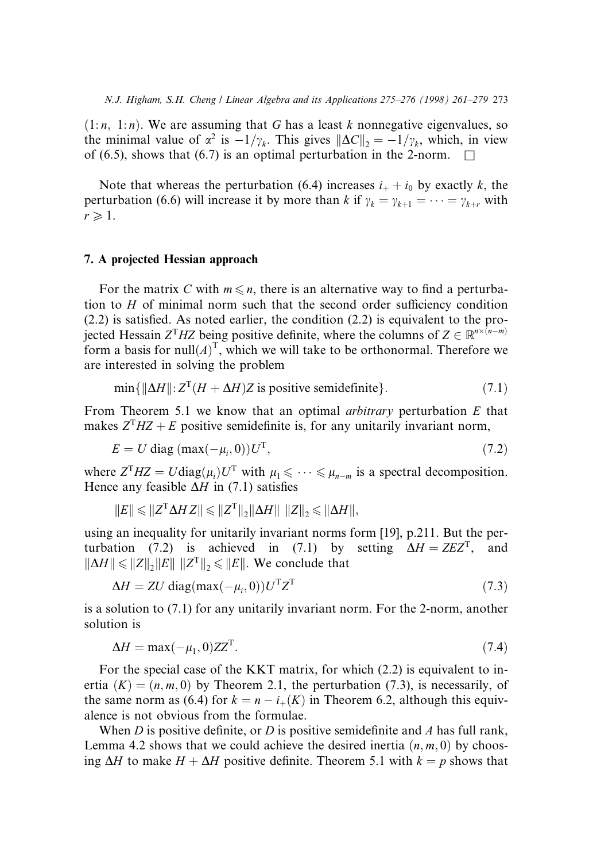$(1:n, 1:n)$ . We are assuming that G has a least k nonnegative eigenvalues, so the minimal value of  $\alpha^2$  is  $-1/\gamma_k$ . This gives  $\|\Delta C\|_2 = -1/\gamma_k$ , which, in view of (6.5), shows that (6.7) is an optimal perturbation in the 2-norm.  $\Box$ 

Note that whereas the perturbation (6.4) increases  $i_+ + i_0$  by exactly k, the perturbation (6.6) will increase it by more than k if  $\gamma_k = \gamma_{k+1} = \cdots = \gamma_{k+r}$  with  $r \geqslant 1$ .

#### 7. A projected Hessian approach

For the matrix C with  $m \leq n$ , there is an alternative way to find a perturbation to  $H$  of minimal norm such that the second order sufficiency condition  $(2.2)$  is satisfied. As noted earlier, the condition  $(2.2)$  is equivalent to the projected Hessain  $Z^{T}$ HZ being positive definite, where the columns of  $Z \in \mathbb{R}^{n \times (n-m)}$ form a basis for  $null(A)^{T}$ , which we will take to be orthonormal. Therefore we are interested in solving the problem

$$
\min\{\|\Delta H\| : Z^{T}(H + \Delta H)Z \text{ is positive semidefinite}\}.
$$
\n(7.1)

From Theorem 5.1 we know that an optimal *arbitrary* perturbation  $E$  that makes  $Z<sup>T</sup>HZ + E$  positive semidefinite is, for any unitarily invariant norm,

$$
E = U \operatorname{diag}(\max(-\mu_i, 0))U^{\mathrm{T}},\tag{7.2}
$$

where  $Z^{T} HZ = U \text{diag}(\mu_i) U^{T}$  with  $\mu_1 \leq \cdots \leq \mu_{n-m}$  is a spectral decomposition. Hence any feasible  $\Delta H$  in (7.1) satisfies

$$
||E|| \leq ||Z^{\mathrm{T}} \Delta H Z|| \leq ||Z^{\mathrm{T}}||_2 ||\Delta H|| \, ||Z||_2 \leq ||\Delta H||,
$$

using an inequality for unitarily invariant norms form [19], p.211. But the perturbation (7.2) is achieved in (7.1) by setting  $\Delta H = ZEZ^{T}$ , and  $\|\Delta H\| \leq \|Z\|_2 \|E\| \|Z^T\|_2 \leq \|E\|$ . We conclude that

$$
\Delta H = ZU \operatorname{diag}(\max(-\mu_i, 0)) U^{\mathrm{T}} Z^{\mathrm{T}} \tag{7.3}
$$

is a solution to (7.1) for any unitarily invariant norm. For the 2-norm, another solution is

$$
\Delta H = \max(-\mu_1, 0) Z Z^{\mathrm{T}}.
$$
\n(7.4)

For the special case of the KKT matrix, for which  $(2.2)$  is equivalent to inertia  $(K) = (n, m, 0)$  by Theorem 2.1, the perturbation (7.3), is necessarily, of the same norm as (6.4) for  $k = n - i_{+}(K)$  in Theorem 6.2, although this equivalence is not obvious from the formulae.

When D is positive definite, or D is positive semidefinite and A has full rank, Lemma 4.2 shows that we could achieve the desired inertia  $(n, m, 0)$  by choosing  $\Delta H$  to make  $H + \Delta H$  positive definite. Theorem 5.1 with  $k = p$  shows that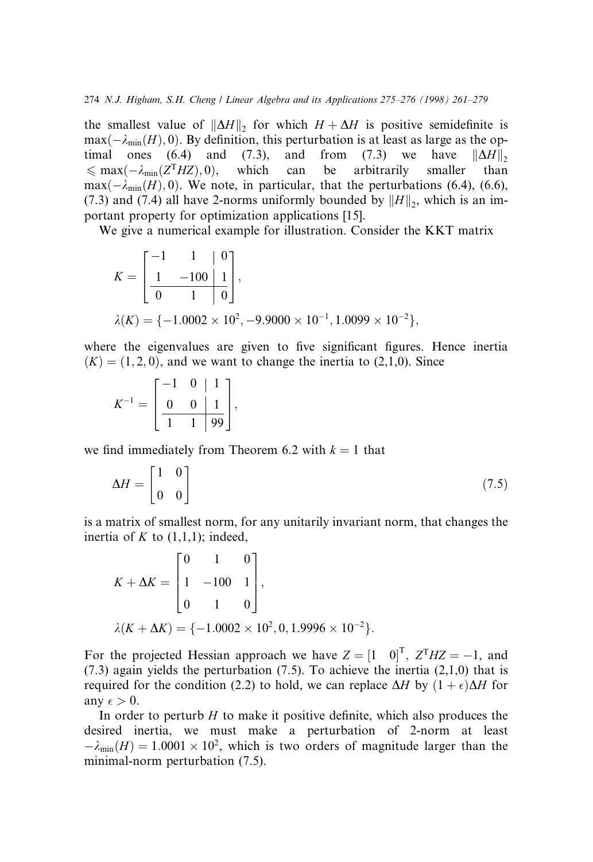the smallest value of  $\|\Delta H\|_2$  for which  $H + \Delta H$  is positive semidefinite is  $\max(-\lambda_{\min}(H), 0)$ . By definition, this perturbation is at least as large as the optimal ones (6.4) and (7.3), and from (7.3) we have  $||\Delta H||_2$ <br>  $\leq$  max( $-\lambda_{\min}(Z^T HZ)$ , 0), which can be arbitrarily smaller than  $\leq \max(-\lambda_{\min}(Z^T HZ), 0)$ , which can be arbitrarily smaller than  $\max(-\lambda_{\min}(H), 0)$ . We note, in particular, that the perturbations (6.4), (6.6), (7.3) and (7.4) all have 2-norms uniformly bounded by  $||H||_2$ , which is an important property for optimization applications [15].

We give a numerical example for illustration. Consider the KKT matrix

$$
K = \begin{bmatrix} -1 & 1 & 0 \\ 1 & -100 & 1 \\ \hline 0 & 1 & 0 \end{bmatrix},
$$
  
\n
$$
\lambda(K) = \{-1.0002 \times 10^{2}, -9.9000 \times 10^{-1}, 1.0099 \times 10^{-2}\},
$$

where the eigenvalues are given to five significant figures. Hence inertia  $(K) = (1, 2, 0)$ , and we want to change the inertia to  $(2,1,0)$ . Since

$$
K^{-1} = \left[\begin{array}{rrr} -1 & 0 & | & 1 \\ 0 & 0 & | & 1 \\ \hline 1 & 1 & | & 99 \end{array}\right],
$$

we find immediately from Theorem 6.2 with  $k = 1$  that

$$
\Delta H = \begin{bmatrix} 1 & 0 \\ 0 & 0 \end{bmatrix} \tag{7.5}
$$

is a matrix of smallest norm, for any unitarily invariant norm, that changes the inertia of K to  $(1,1,1)$ ; indeed,

$$
K + \Delta K = \begin{bmatrix} 0 & 1 & 0 \\ 1 & -100 & 1 \\ 0 & 1 & 0 \end{bmatrix},
$$
  

$$
\lambda(K + \Delta K) = \{-1.0002 \times 10^2, 0, 1.9996 \times 10^{-2}\}.
$$

For the projected Hessian approach we have  $Z = \begin{bmatrix} 1 & 0 \end{bmatrix}^T$ ,  $Z^T H Z = -1$ , and  $(7.3)$  again yields the perturbation  $(7.5)$ . To achieve the inertia  $(2,1,0)$  that is required for the condition (2.2) to hold, we can replace  $\Delta H$  by  $(1 + \epsilon)\Delta H$  for any  $\epsilon > 0$ .

In order to perturb  $H$  to make it positive definite, which also produces the desired inertia, we must make a perturbation of 2-norm at least  $-\lambda_{\min}(H) = 1.0001 \times 10^2$ , which is two orders of magnitude larger than the minimal-norm perturbation (7.5).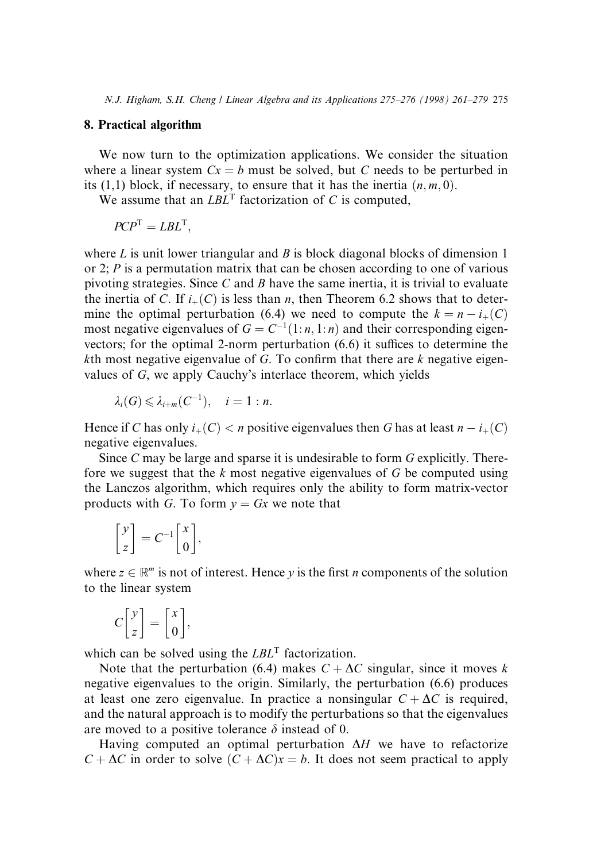# 8. Practical algorithm

We now turn to the optimization applications. We consider the situation where a linear system  $Cx = b$  must be solved, but C needs to be perturbed in its (1,1) block, if necessary, to ensure that it has the inertia  $(n, m, 0)$ .

We assume that an  $LBL^{T}$  factorization of C is computed,

$$
PCP^{T} = LBL^{T},
$$

where  $L$  is unit lower triangular and  $B$  is block diagonal blocks of dimension 1 or 2; P is a permutation matrix that can be chosen according to one of various pivoting strategies. Since C and B have the same inertia, it is trivial to evaluate the inertia of C. If  $i_{+}(C)$  is less than n, then Theorem 6.2 shows that to determine the optimal perturbation (6.4) we need to compute the  $k = n - i_{+}(C)$ most negative eigenvalues of  $G = C^{-1}(1:n, 1:n)$  and their corresponding eigenvectors; for the optimal 2-norm perturbation  $(6.6)$  it suffices to determine the kth most negative eigenvalue of G. To confirm that there are k negative eigenvalues of G, we apply Cauchy's interlace theorem, which yields

$$
\lambda_i(G)\leqslant \lambda_{i+m}(C^{-1}),\quad i=1:n.
$$

Hence if C has only  $i_+(C) < n$  positive eigenvalues then G has at least  $n-i_+(C)$ negative eigenvalues.

Since C may be large and sparse it is undesirable to form G explicitly. Therefore we suggest that the  $k$  most negative eigenvalues of  $G$  be computed using the Lanczos algorithm, which requires only the ability to form matrix-vector products with G. To form  $y = Gx$  we note that

$$
\begin{bmatrix} y \\ z \end{bmatrix} = C^{-1} \begin{bmatrix} x \\ 0 \end{bmatrix},
$$

where  $z \in \mathbb{R}^m$  is not of interest. Hence y is the first n components of the solution to the linear system

$$
C\begin{bmatrix}y\\z\end{bmatrix} = \begin{bmatrix}x\\0\end{bmatrix},
$$

which can be solved using the  $LBL^{T}$  factorization.

Note that the perturbation (6.4) makes  $C + \Delta C$  singular, since it moves k negative eigenvalues to the origin. Similarly, the perturbation (6.6) produces at least one zero eigenvalue. In practice a nonsingular  $C + \Delta C$  is required, and the natural approach is to modify the perturbations so that the eigenvalues are moved to a positive tolerance  $\delta$  instead of 0.

Having computed an optimal perturbation  $\Delta H$  we have to refactorize  $C + \Delta C$  in order to solve  $(C + \Delta C)x = b$ . It does not seem practical to apply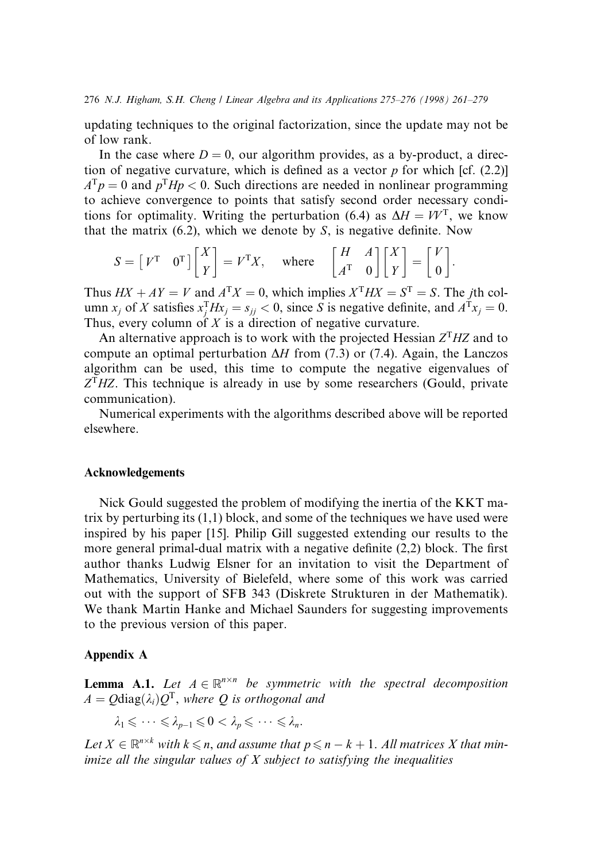updating techniques to the original factorization, since the update may not be of low rank.

In the case where  $D = 0$ , our algorithm provides, as a by-product, a direction of negative curvature, which is defined as a vector  $p$  for which [cf. (2.2)]  $A^T p = 0$  and  $p^T H p < 0$ . Such directions are needed in nonlinear programming to achieve convergence to points that satisfy second order necessary conditions for optimality. Writing the perturbation (6.4) as  $\Delta H = VV^{T}$ , we know that the matrix  $(6.2)$ , which we denote by S, is negative definite. Now

$$
S = \begin{bmatrix} V^{\mathrm{T}} & 0^{\mathrm{T}} \end{bmatrix} \begin{bmatrix} X \\ Y \end{bmatrix} = V^{\mathrm{T}} X, \quad \text{where} \quad \begin{bmatrix} H & A \\ A^{\mathrm{T}} & 0 \end{bmatrix} \begin{bmatrix} X \\ Y \end{bmatrix} = \begin{bmatrix} V \\ 0 \end{bmatrix}.
$$

Thus  $HX + AY = V$  and  $A^{T}X = 0$ , which implies  $X^{T}HX = S^{T} = S$ . The *i*th column  $x_j$  of X satisfies  $x_j^T H x_j = s_{jj} < 0$ , since S is negative definite, and  $A^T x_j = 0$ . Thus, every column of  $X$  is a direction of negative curvature.

An alternative approach is to work with the projected Hessian  $Z<sup>T</sup>HZ$  and to compute an optimal perturbation  $\Delta H$  from (7.3) or (7.4). Again, the Lanczos algorithm can be used, this time to compute the negative eigenvalues of  $Z<sup>T</sup> HZ$ . This technique is already in use by some researchers (Gould, private communication).

Numerical experiments with the algorithms described above will be reported elsewhere.

#### Acknowledgements

Nick Gould suggested the problem of modifying the inertia of the KKT matrix by perturbing its  $(1,1)$  block, and some of the techniques we have used were inspired by his paper [15]. Philip Gill suggested extending our results to the more general primal-dual matrix with a negative definite  $(2,2)$  block. The first author thanks Ludwig Elsner for an invitation to visit the Department of Mathematics, University of Bielefeld, where some of this work was carried out with the support of SFB 343 (Diskrete Strukturen in der Mathematik). We thank Martin Hanke and Michael Saunders for suggesting improvements to the previous version of this paper.

#### Appendix A

**Lemma A.1.** Let  $A \in \mathbb{R}^{n \times n}$  be symmetric with the spectral decomposition  $A = Q \text{diag}(\lambda_i)Q^T$ , where Q is orthogonal and

 $\lambda_1 \leqslant \cdots \leqslant \lambda_{p-1} \leqslant 0 < \lambda_p \leqslant \cdots \leqslant \lambda_n.$ 

Let  $X \in \mathbb{R}^{n \times k}$  with  $k \leqslant n$ , and assume that  $p \leqslant n - k + 1$ . All matrices X that minimize all the singular values of  $X$  subject to satisfying the inequalities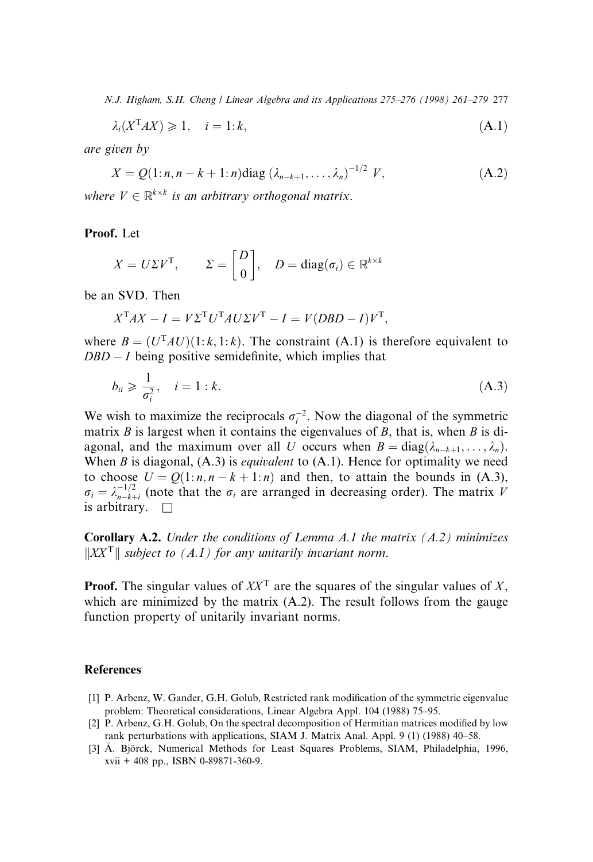$$
\lambda_i(X^{\mathrm{T}}AX) \geq 1, \quad i = 1:k,\tag{A.1}
$$

are given by

$$
X = Q(1:n, n-k+1:n) \text{diag} \left( \lambda_{n-k+1}, \dots, \lambda_n \right)^{-1/2} V, \tag{A.2}
$$

where  $V \in \mathbb{R}^{k \times k}$  is an arbitrary orthogonal matrix.

Proof. Let

$$
X = U\Sigma V^{T}
$$
,  $\Sigma = \begin{bmatrix} D \\ 0 \end{bmatrix}$ ,  $D = \text{diag}(\sigma_i) \in \mathbb{R}^{k \times k}$ 

be an SVD. Then

$$
X^{T}AX - I = V\Sigma^{T}U^{T}AU\Sigma V^{T} - I = V(DBD - I)V^{T},
$$

where  $B = (U<sup>T</sup> A U)(1:k, 1:k)$ . The constraint (A.1) is therefore equivalent to  $DBD - I$  being positive semidefinite, which implies that

$$
b_{ii} \geqslant \frac{1}{\sigma_i^2}, \quad i = 1 : k. \tag{A.3}
$$

We wish to maximize the reciprocals  $\sigma_i^{-2}$ . Now the diagonal of the symmetric matrix  $B$  is largest when it contains the eigenvalues of  $B$ , that is, when  $B$  is diagonal, and the maximum over all U occurs when  $B = diag(\lambda_{n-k+1}, \dots, \lambda_n)$ . When  $B$  is diagonal,  $(A.3)$  is *equivalent* to  $(A.1)$ . Hence for optimality we need to choose  $U = Q(1:n, n - k + 1:n)$  and then, to attain the bounds in (A.3),  $\sigma_i = \lambda_{n-k+i}^{-1/2}$  (note that the  $\sigma_i$  are arranged in decreasing order). The matrix V is arbitrary.  $\Box$ 

**Corollary A.2.** Under the conditions of Lemma A.1 the matrix  $(A.2)$  minimizes  $\|XX^T\|$  subject to (A.1) for any unitarily invariant norm.

**Proof.** The singular values of  $XX<sup>T</sup>$  are the squares of the singular values of X, which are minimized by the matrix  $(A.2)$ . The result follows from the gauge function property of unitarily invariant norms.

# **References**

- [1] P. Arbenz, W. Gander, G.H. Golub, Restricted rank modification of the symmetric eigenvalue problem: Theoretical considerations, Linear Algebra Appl. 104 (1988) 75-95.
- [2] P. Arbenz, G.H. Golub, On the spectral decomposition of Hermitian matrices modified by low rank perturbations with applications, SIAM J. Matrix Anal. Appl. 9 (1) (1988) 40-58.
- [3] A. Bjorck, Numerical Methods for Least Squares Problems, SIAM, Philadelphia, 1996, xvii + 408 pp., ISBN 0-89871-360-9.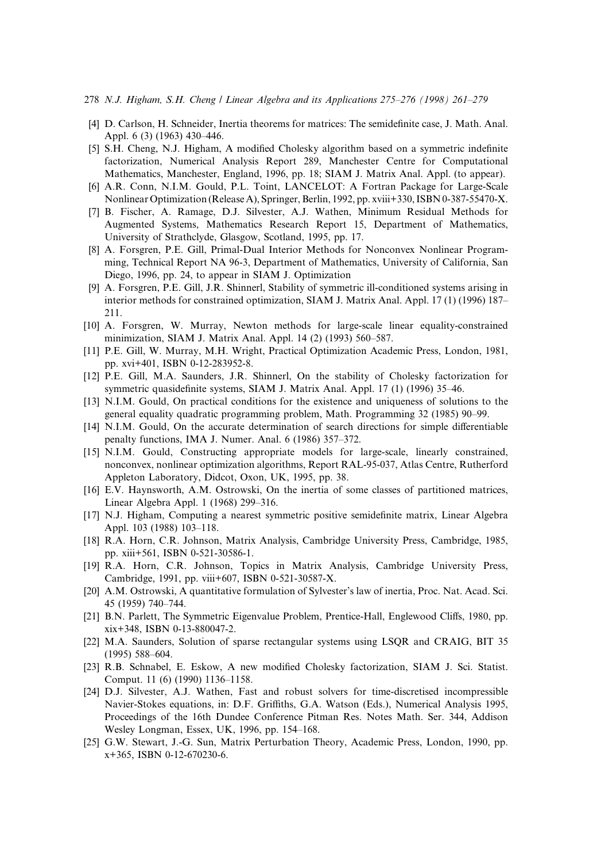- $278$  N.J. Higham, S.H. Cheng / Linear Algebra and its Applications  $275-276$  (1998) 261-279
- [4] D. Carlson, H. Schneider, Inertia theorems for matrices: The semidefinite case, J. Math. Anal. Appl. 6 (3) (1963) 430-446.
- [5] S.H. Cheng, N.J. Higham, A modified Cholesky algorithm based on a symmetric indefinite factorization, Numerical Analysis Report 289, Manchester Centre for Computational Mathematics, Manchester, England, 1996, pp. 18; SIAM J. Matrix Anal. Appl. (to appear).
- [6] A.R. Conn, N.I.M. Gould, P.L. Toint, LANCELOT: A Fortran Package for Large-Scale Nonlinear Optimization (Release A), Springer, Berlin, 1992, pp. xviii+330, ISBN 0-387-55470-X.
- [7] B. Fischer, A. Ramage, D.J. Silvester, A.J. Wathen, Minimum Residual Methods for Augmented Systems, Mathematics Research Report 15, Department of Mathematics, University of Strathclyde, Glasgow, Scotland, 1995, pp. 17.
- [8] A. Forsgren, P.E. Gill, Primal-Dual Interior Methods for Nonconvex Nonlinear Programming, Technical Report NA 96-3, Department of Mathematics, University of California, San Diego, 1996, pp. 24, to appear in SIAM J. Optimization
- [9] A. Forsgren, P.E. Gill, J.R. Shinnerl, Stability of symmetric ill-conditioned systems arising in interior methods for constrained optimization, SIAM J. Matrix Anal. Appl. 17 (1) (1996) 187– 211.
- [10] A. Forsgren, W. Murray, Newton methods for large-scale linear equality-constrained minimization, SIAM J. Matrix Anal. Appl. 14 (2) (1993) 560–587.
- [11] P.E. Gill, W. Murray, M.H. Wright, Practical Optimization Academic Press, London, 1981, pp. xvi+401, ISBN 0-12-283952-8.
- [12] P.E. Gill, M.A. Saunders, J.R. Shinnerl, On the stability of Cholesky factorization for symmetric quasidefinite systems, SIAM J. Matrix Anal. Appl. 17 (1) (1996) 35–46.
- [13] N.I.M. Gould, On practical conditions for the existence and uniqueness of solutions to the general equality quadratic programming problem, Math. Programming 32 (1985) 90–99.
- [14] N.I.M. Gould, On the accurate determination of search directions for simple differentiable penalty functions, IMA J. Numer. Anal. 6 (1986) 357-372.
- [15] N.I.M. Gould, Constructing appropriate models for large-scale, linearly constrained, nonconvex, nonlinear optimization algorithms, Report RAL-95-037, Atlas Centre, Rutherford Appleton Laboratory, Didcot, Oxon, UK, 1995, pp. 38.
- [16] E.V. Haynsworth, A.M. Ostrowski, On the inertia of some classes of partitioned matrices, Linear Algebra Appl. 1 (1968) 299-316.
- [17] N.J. Higham, Computing a nearest symmetric positive semidefinite matrix, Linear Algebra Appl. 103 (1988) 103-118.
- [18] R.A. Horn, C.R. Johnson, Matrix Analysis, Cambridge University Press, Cambridge, 1985, pp. xiii+561, ISBN 0-521-30586-1.
- [19] R.A. Horn, C.R. Johnson, Topics in Matrix Analysis, Cambridge University Press, Cambridge, 1991, pp. viii+607, ISBN 0-521-30587-X.
- [20] A.M. Ostrowski, A quantitative formulation of Sylvester's law of inertia, Proc. Nat. Acad. Sci. 45 (1959) 740±744.
- [21] B.N. Parlett, The Symmetric Eigenvalue Problem, Prentice-Hall, Englewood Cliffs, 1980, pp. xix+348, ISBN 0-13-880047-2.
- [22] M.A. Saunders, Solution of sparse rectangular systems using LSQR and CRAIG, BIT 35 (1995) 588-604.
- [23] R.B. Schnabel, E. Eskow, A new modified Cholesky factorization, SIAM J. Sci. Statist. Comput. 11 (6) (1990) 1136-1158.
- [24] D.J. Silvester, A.J. Wathen, Fast and robust solvers for time-discretised incompressible Navier-Stokes equations, in: D.F. Griffiths, G.A. Watson (Eds.), Numerical Analysis 1995, Proceedings of the 16th Dundee Conference Pitman Res. Notes Math. Ser. 344, Addison Wesley Longman, Essex, UK, 1996, pp. 154–168.
- [25] G.W. Stewart, J.-G. Sun, Matrix Perturbation Theory, Academic Press, London, 1990, pp. x+365, ISBN 0-12-670230-6.